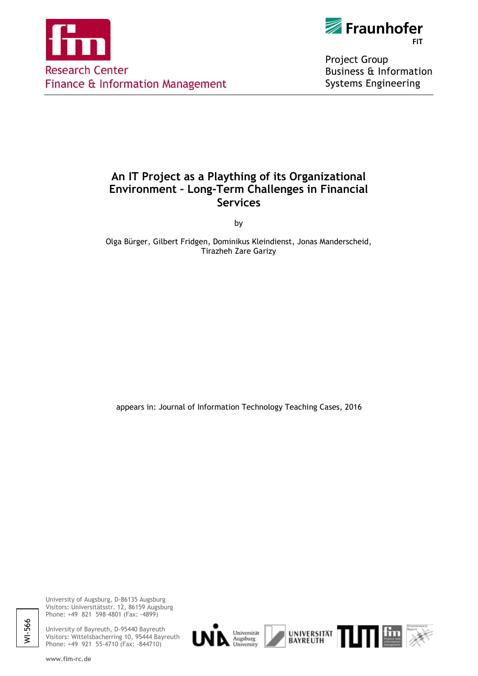



Project Group **Business & Information Systems Engineering** 

## **An IT Project as a Plaything of its Organizational Environment – Long-Term Challenges in Financial Services**

by

Olga Bürger, Gilbert Fridgen, Dominikus Kleindienst, Jonas Manderscheid, Tirazheh Zare Garizy

appears in: Journal of Information Technology Teaching Cases, 2016

WI-566

University of Augsburg, D-86135 Augsburg Visitors: Universitätsstr. 12, 86159 Augsburg Phone: +49 821 598-4801 (Fax: -4899)

University of Bayreuth, D-95440 Bayreuth Visitors: Wittelsbacherring 10, 95444 Bayreuth Phone: +49 921 55-4710 (Fax: -844710)